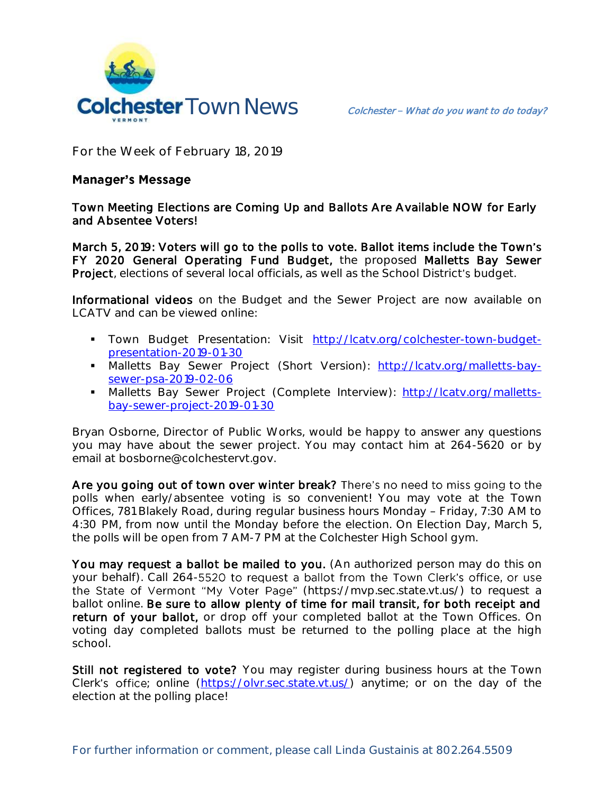

**For the Week of February 18, 2019**

## **Manager's Message**

Town Meeting Elections are Coming Up and Ballots Are Available NOW for Early and Absentee Voters!

March 5, 2019: Voters will go to the polls to vote. Ballot items include the Town's FY 2020 General Operating Fund Budget, the proposed Malletts Bay Sewer Project, elections of several local officials, as well as the School District's budget.

Informational videos on the Budget and the Sewer Project are now available on LCATV and can be viewed online:

- Town Budget Presentation: Visit [http://lcatv.org/colchester-town-budget](http://lcatv.org/colchester-town-budget-presentation-2019-01-30)[presentation-2019-01-30](http://lcatv.org/colchester-town-budget-presentation-2019-01-30)
- Malletts Bay Sewer Project (Short Version): [http://lcatv.org/malletts-bay](http://lcatv.org/malletts-bay-sewer-psa-2019-02-06)[sewer-psa-2019-02-06](http://lcatv.org/malletts-bay-sewer-psa-2019-02-06)
- Malletts Bay Sewer Project (Complete Interview): [http://lcatv.org/malletts](http://lcatv.org/malletts-bay-sewer-project-2019-01-30)[bay-sewer-project-2019-01-30](http://lcatv.org/malletts-bay-sewer-project-2019-01-30)

Bryan Osborne, Director of Public Works, would be happy to answer any questions you may have about the sewer project. You may contact him at 264-5620 or by email at bosborne@colchestervt.gov.

Are you going out of town over winter break? There's no need to miss going to the polls when early/absentee voting is so convenient! You may vote at the Town Offices, 781 Blakely Road, during regular business hours Monday - Friday, 7:30 AM to 4:30 PM, from now until the Monday before the election. On Election Day, March 5, the polls will be open from 7 AM-7 PM at the Colchester High School gym.

You may request a ballot be mailed to you. (An authorized person may do this on your behalf). Call 264-5520 to request a ballot from the Town Clerk's office, or use the State of Vermont "My Voter Page" (https://mvp.sec.state.vt.us/) to request a ballot online. Be sure to allow plenty of time for mail transit, for both receipt and return of your ballot, or drop off your completed ballot at the Town Offices. On voting day completed ballots must be returned to the polling place at the high school.

Still not registered to vote? You may register during business hours at the Town Clerk's office; online [\(https://olvr.sec.state.vt.us/\)](https://olvr.sec.state.vt.us/) anytime; or on the day of the election at the polling place!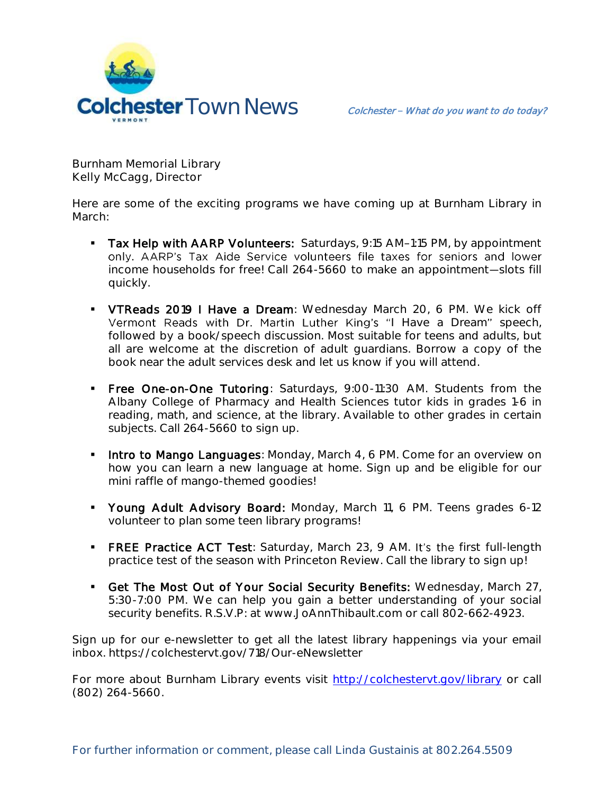

**Burnham Memorial Library Kelly McCagg, Director**

Here are some of the exciting programs we have coming up at Burnham Library in March:

- Tax Help with AARP Volunteers: Saturdays, 9:15 AM-1:15 PM, by appointment<br>only. AARP's Tax Aide Service volunteers file taxes for seniors and lower income households for free! Call 264-5660 to make an appointment-slots fill quickly.
- VTReads 2019 I Have a Dream: Wednesday March 20, 6 PM. We kick off Vermont Reads with Dr. Martin Luther King's "I Have a Dream" speech, followed by a book/speech discussion. Most suitable for teens and adults, but all are welcome at the discretion of adult guardians. Borrow a copy of the book near the adult services desk and let us know if you will attend.
- **Free One-on-One Tutoring**: Saturdays, 9:00-11:30 AM. Students from the Albany College of Pharmacy and Health Sciences tutor kids in grades 1-6 in reading, math, and science, at the library. Available to other grades in certain subjects. Call 264-5660 to sign up.
- **Intro to Mango Languages:** Monday, March 4, 6 PM. Come for an overview on how you can learn a new language at home. Sign up and be eligible for our mini raffle of mango-themed goodies!
- Young Adult Advisory Board: Monday, March 11, 6 PM. Teens grades 6-12 volunteer to plan some teen library programs!
- FREE Practice ACT Test: Saturday, March 23, 9 AM. It's the first full-length practice test of the season with Princeton Review. Call the library to sign up!
- Get The Most Out of Your Social Security Benefits: Wednesday, March 27, 5:30-7:00 PM. We can help you gain a better understanding of your social security benefits. R.S.V.P: at www.JoAnnThibault.com or call 802-662-4923.

Sign up for our e-newsletter to get all the latest library happenings via your email inbox. https://colchestervt.gov/718/Our-eNewsletter

For more about Burnham Library events visit<http://colchestervt.gov/library> or call (802) 264-5660.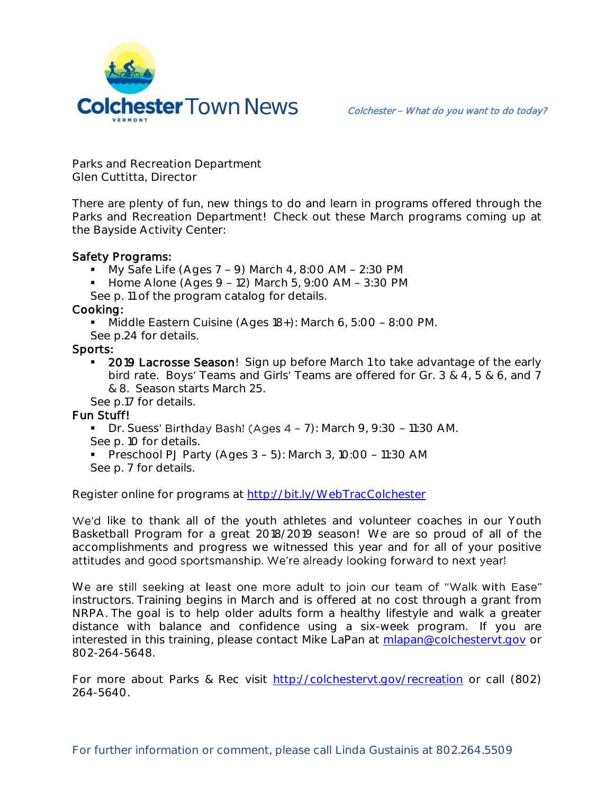

**Parks and Recreation Department Glen Cuttitta, Director**

There are plenty of fun, new things to do and learn in programs offered through the Parks and Recreation Department! Check out these March programs coming up at the Bayside Activity Center:

## Safety Programs:

- $\blacksquare$  My Safe Life (Ages 7 9) March 4, 8:00 AM 2:30 PM
- $\blacksquare$  Home Alone (Ages 9 12) March 5, 9:00 AM 3:30 PM
- See p. 11 of the program catalog for details.

Cooking:

Middle Eastern Cuisine (Ages  $18+$ ): March 6, 5:00 - 8:00 PM.

See p.24 for details.

## Sports:

**2019 Lacrosse Season!** Sign up before March 1 to take advantage of the early bird rate. Boys' Teams and Girls' Teams are offered for Gr. 3 & 4, 5 & 6, and 7 & 8. Season starts March 25.

See p.17 for details.

## Fun Stuff!

- $\blacksquare$  Dr. Suess' Birthday Bash! (Ages 4 7): March 9, 9:30 11:30 AM. See p. 10 for details.
- Preschool PJ Party (Ages  $3 5$ ): March 3, 10:00 11:30 AM See p. 7 for details.

Register online for programs at<http://bit.ly/WebTracColchester>

We'd like to thank all of the youth athletes and volunteer coaches in our Youth Basketball Program for a great 2018/2019 season! We are so proud of all of the accomplishments and progress we witnessed this year and for all of your positive attitudes and good sportsmanship. We're already looking forward to next year!

We are still seeking at least one more adult to join our team of "Walk with Ease" instructors. Training begins in March and is offered at no cost through a grant from NRPA. The goal is to help older adults form a healthy lifestyle and walk a greater distance with balance and confidence using a six-week program. If you are interested in this training, please contact Mike LaPan at [mlapan@colchestervt.gov](mailto:mlapan@colchestervt.gov) or 802-264-5648.

For more about Parks & Rec visit [http://colchestervt.gov/recreation](http://colchestervt.gov/Recreation/parksNRec.shtml) or call (802) 264-5640.